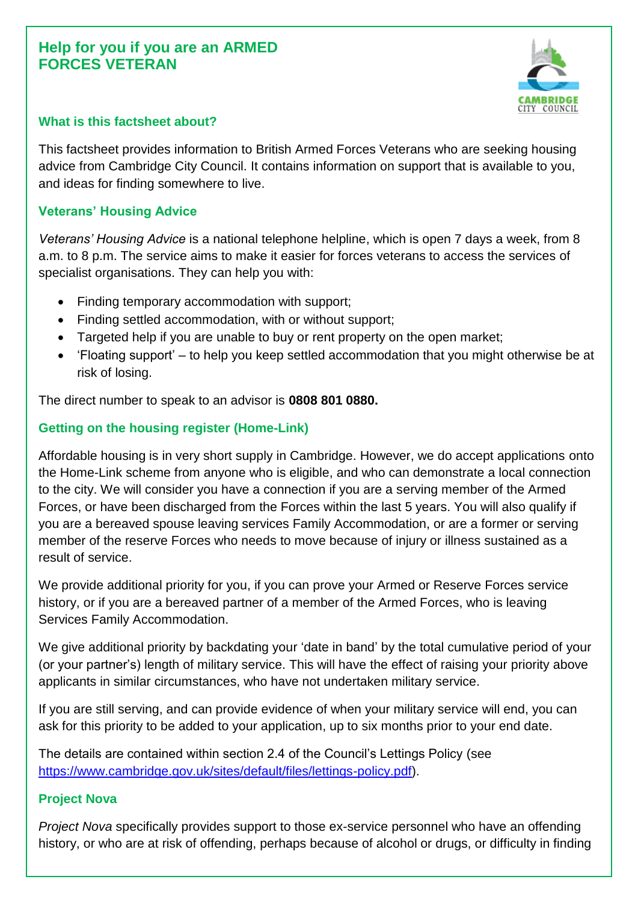# **Help for you if you are an ARMED FORCES VETERAN**



# **What is this factsheet about?**

This factsheet provides information to British Armed Forces Veterans who are seeking housing advice from Cambridge City Council. It contains information on support that is available to you, and ideas for finding somewhere to live.

## **Veterans' Housing Advice**

*Veterans' Housing Advice* is a national telephone helpline, which is open 7 days a week, from 8 a.m. to 8 p.m. The service aims to make it easier for forces veterans to access the services of specialist organisations. They can help you with:

- Finding temporary accommodation with support;
- Finding settled accommodation, with or without support;
- Targeted help if you are unable to buy or rent property on the open market;
- 'Floating support' to help you keep settled accommodation that you might otherwise be at risk of losing.

The direct number to speak to an advisor is **0808 801 0880.**

# **Getting on the housing register (Home-Link)**

Affordable housing is in very short supply in Cambridge. However, we do accept applications onto the Home-Link scheme from anyone who is eligible, and who can demonstrate a local connection to the city. We will consider you have a connection if you are a serving member of the Armed Forces, or have been discharged from the Forces within the last 5 years. You will also qualify if you are a bereaved spouse leaving services Family Accommodation, or are a former or serving member of the reserve Forces who needs to move because of injury or illness sustained as a result of service.

We provide additional priority for you, if you can prove your Armed or Reserve Forces service history, or if you are a bereaved partner of a member of the Armed Forces, who is leaving Services Family Accommodation.

We give additional priority by backdating your 'date in band' by the total cumulative period of your (or your partner's) length of military service. This will have the effect of raising your priority above applicants in similar circumstances, who have not undertaken military service.

If you are still serving, and can provide evidence of when your military service will end, you can ask for this priority to be added to your application, up to six months prior to your end date.

The details are contained within section 2.4 of the Council's Lettings Policy (see [https://www.cambridge.gov.uk/sites/default/files/lettings-policy.pdf\)](https://www.cambridge.gov.uk/sites/default/files/lettings-policy.pdf).

#### **Project Nova**

*Project Nova* specifically provides support to those ex-service personnel who have an offending history, or who are at risk of offending, perhaps because of alcohol or drugs, or difficulty in finding